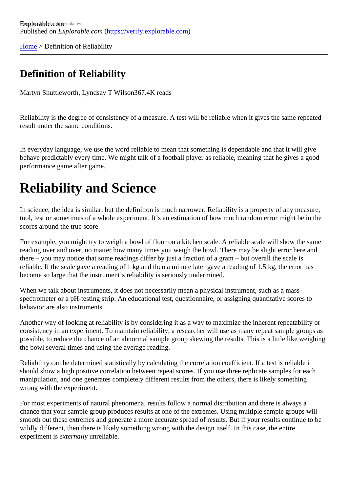[Home](https://verify.explorable.com/) > Definition of Reliability

## Definition of Reliability

Martyn Shuttleworth, Lyndsay T Wils<sup>367.4K</sup> reads

Reliability is the degree of consistency of a measure. A test will be reliable when it gives the same repeate result under the same conditions.

In everyday language, we use the word reliable to mean that something is dependable and that it will give behave predictably every time. We might talk of a football player as reliable, meaning that he gives a good performance game after game.

## Reliability and Science

In science, the idea is similar, but the definition is much narrower. Reliability is a property of any measure, tool, test or sometimes of a whole experiment. It's an estimation of how much random error might be in the scores around the true score.

For example, you might try to weigh a bowl of flour on a kitchen scale. A reliable scale will show the same reading over and over, no matter how many times you weigh the bowl. There may be slight error here and there – you may notice that some readings differ by just a fraction of a gram – but overall the scale is reliable. If the scale gave a reading of 1 kg and then a minute later gave a reading of 1.5 kg, the error has become so large that the instrument's reliability is seriously undermined.

When we talk about instruments, it does not necessarily mean a physical instrument, such as a massspectrometer or a pH-testing strip. An educational test, questionnaire, or assigning quantitative scores to behavior are also instruments.

Another way of looking at reliability is by considering it as a way to maximize the inherent repeatability or consistency in an experiment. To maintain reliability, a researcher will use as many repeat sample groups possible, to reduce the chance of an abnormal sample group skewing the results. This is a little like weigh the bowl several times and using the average reading.

Reliability can be determined statistically by calculating the correlation coefficient. If a test is reliable it should show a high positive correlation between repeat scores. If you use three replicate samples for each manipulation, and one generates completely different results from the others, there is likely something wrong with the experiment.

For most experiments of natural phenomena, results follow a normal distribution and there is always a chance that your sample group produces results at one of the extremes. Using multiple sample groups will smooth out these extremes and generate a more accurate spread of results. But if your results continue to wildly different, then there is likely something wrong with the design itself. In this case, the entire experiment is externally unreliable.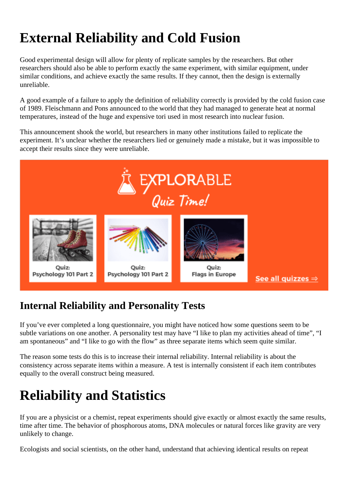# **External Reliability and Cold Fusion**

Good experimental design will allow for plenty of replicate samples by the researchers. But other researchers should also be able to perform exactly the same experiment, with similar equipment, under similar conditions, and achieve exactly the same results. If they cannot, then the design is externally unreliable.

A good example of a failure to apply the definition of reliability correctly is provided by the cold fusion case of 1989. Fleischmann and Pons announced to the world that they had managed to generate heat at normal temperatures, instead of the huge and expensive tori used in most research into nuclear fusion.

This announcement shook the world, but researchers in many other institutions failed to replicate the experiment. It's unclear whether the researchers lied or genuinely made a mistake, but it was impossible to accept their results since they were unreliable.



## **Internal Reliability and Personality Tests**

If you've ever completed a long questionnaire, you might have noticed how some questions seem to be subtle variations on one another. A personality test may have "I like to plan my activities ahead of time", "I am spontaneous" and "I like to go with the flow" as three separate items which seem quite similar.

The reason some tests do this is to increase their internal reliability. Internal reliability is about the consistency across separate items within a measure. A test is internally consistent if each item contributes equally to the overall construct being measured.

# **Reliability and Statistics**

If you are a physicist or a chemist, repeat experiments should give exactly or almost exactly the same results, time after time. The behavior of phosphorous atoms, DNA molecules or natural forces like gravity are very unlikely to change.

Ecologists and social scientists, on the other hand, understand that achieving identical results on repeat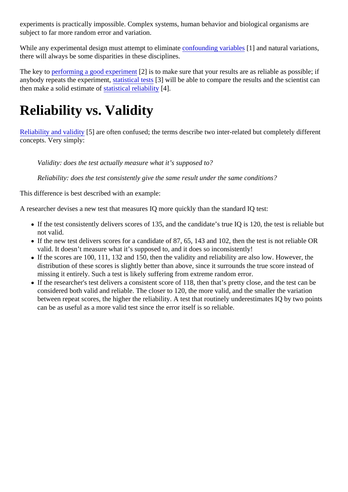experiments is practically impossible. Complex systems, human behavior and biological organisms are subject to far more random error and variation.

While any experimental design must attempt to eliminate founding variables [1] and natural variations, there will always be some disparities in these disciplines.

The key t[o performing a good experime](https://explorable.com/conducting-an-experiment)<sup>[2]</sup> is to make sure that your results are as reliable as possible; if anybody repeats the experiment that is the statistical test in will be able to compare the results and the scientist can then make a solid estimate of atistical reliability[4].

# Reliability vs. Validity

[Reliability and validity](https://explorable.com/validity-and-reliability)[5] are often confused; the terms describe two inter-related but completely different concepts. Very simply:

Validity: does the test actually measure what it's supposed to?

Reliability: does the test consistently give the same result under the same conditions?

This difference is best described with an example:

A researcher devises a new test that measures IQ more quickly than the standard IQ test:

- If the test consistently delivers scores of 135, and the candidate's true IQ is 120, the test is reliable b not valid.
- If the new test delivers scores for a candidate of 87, 65, 143 and 102, then the test is not reliable OR valid. It doesn't measure what it's supposed to, and it does so inconsistently!
- If the scores are 100, 111, 132 and 150, then the validity and reliability are also low. However, the distribution of these scores is slightly better than above, since it surrounds the true score instead of missing it entirely. Such a test is likely suffering from extreme random error.
- If the researcher's test delivers a consistent score of 118, then that's pretty close, and the test can be considered both valid and reliable. The closer to 120, the more valid, and the smaller the variation between repeat scores, the higher the reliability. A test that routinely underestimates IQ by two point can be as useful as a more valid test since the error itself is so reliable.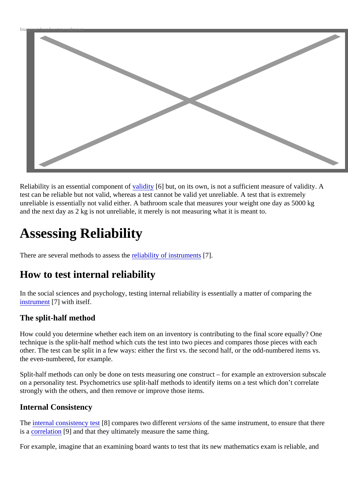

Reliability is an essential componen[t of validity](https://explorable.com/types-of-validity) [6] but, on its own, is not a sufficient measure of validity. A test can be reliable but not valid, whereas a test cannot be valid yet unreliable. A test that is extremely unreliable is essentially not valid either. A bathroom scale that measures your weight one day as 5000 kg and the next day as 2 kg is not unreliable, it merely is not measuring what it is meant to.

# Assessing Reliability

There are several methods to assesseliability of instrument §7].

### How to test internal reliability

In the social sciences and psychology, testing internal reliability is essentially a matter of comparing the [instrumen](https://explorable.com/instrument-reliability)t<sup>[7]</sup> with itself.

### The split-half method

How could you determine whether each item on an inventory is contributing to the final score equally? One technique is the split-half method which cuts the test into two pieces and compares those pieces with each other. The test can be split in a few ways: either the first vs. the second half, or the odd-numbered items v the even-numbered, for example.

Split-half methods can only be done on tests measuring one construct – for example an extroversion subs on a personality test. Psychometrics use split-half methods to identify items on a test which don't correlate strongly with the others, and then remove or improve those items.

#### Internal Consistency

The [internal consistency te](https://explorable.com/internal-consistency-reliability)**B** compares two different ersions of the same instrument, to ensure that there is a [correlation](https://explorable.com/statistical-correlation)<sup>[9]</sup> and that they ultimately measure the same thing.

For example, imagine that an examining board wants to test that its new mathematics exam is reliable, an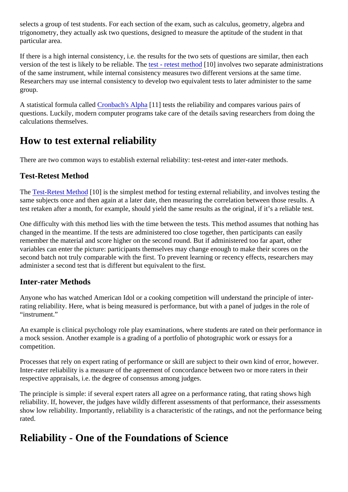selects a group of test students. For each section of the exam, such as calculus, geometry, algebra and trigonometry, they actually ask two questions, designed to measure the aptitude of the student in that particular area.

If there is a high internal consistency, i.e. the results for the two sets of questions are similar, then each version of the test is likely to be reliable. The t - retest method 0] involves two separate administrations of the same instrument, while internal consistency measures two different versions at the same time. Researchers may use internal consistency to develop two equivalent tests to later administer to the same group.

A statistical formula calle Cronbach's Alphat 1] tests the reliability and compares various pairs of questions. Luckily, modern computer programs take care of the details saving researchers from doing the calculations themselves.

### How to test external reliability

There are two common ways to establish external reliability: test-retest and inter-rater methods.

### Test-Retest Method

The [Test-Retest Metho](https://explorable.com/test-retest-reliability)d 0] is the simplest method for testing external reliability, and involves testing the same subjects once and then again at a later date, then measuring the correlation between those results. test retaken after a month, for example, should yield the same results as the original, if it's a reliable test.

One difficulty with this method lies with the time between the tests. This method assumes that nothing has changed in the meantime. If the tests are administered too close together, then participants can easily remember the material and score higher on the second round. But if administered too far apart, other variables can enter the picture: participants themselves may change enough to make their scores on the second batch not truly comparable with the first. To prevent learning or recency effects, researchers may administer a second test that is different but equivalent to the first.

#### Inter-rater Methods

Anyone who has watched American Idol or a cooking competition will understand the principle of interrating reliability. Here, what is being measured is performance, but with a panel of judges in the role of "instrument."

An example is clinical psychology role play examinations, where students are rated on their performance in a mock session. Another example is a grading of a portfolio of photographic work or essays for a competition.

Processes that rely on expert rating of performance or skill are subject to their own kind of error, however. Inter-rater reliability is a measure of the agreement of concordance between two or more raters in their respective appraisals, i.e. the degree of consensus among judges.

The principle is simple: if several expert raters all agree on a performance rating, that rating shows high reliability. If, however, the judges have wildly different assessments of that performance, their assessment show low reliability. Importantly, reliability is a characteristic of the ratings, and not the performance being rated.

## Reliability - One of the Foundations of Science